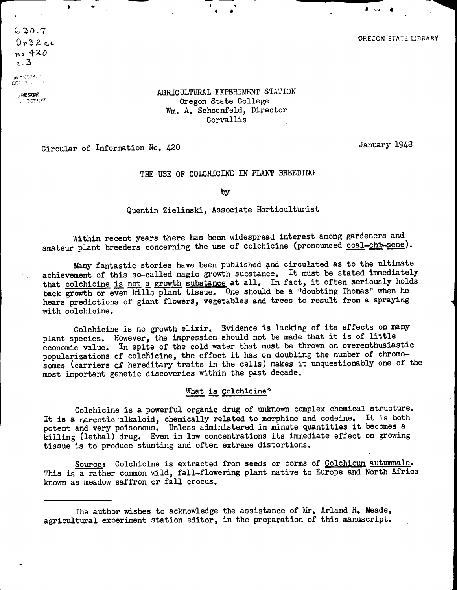$630.7$  $0.32c<sub>u</sub>$ no. 420  $-3$ 

corrective

**FEGGA ALSOTIOT** 

## AGRICULTURAL EXPERIMENT STATION Oregon State College Wm. A. Schoenfeld. Director **Corvallis**

Circular of Information No. 420

January 1948

## THE USE OF COLCHICINE IN PLANT BREEDING

by

Quentin Zielinski, Associate Horticulturist

Within recent years there has been widespread interest among gardeners and amateur plant breeders concerning the use of colchicine (pronounced coal-chi-sene).

Many fantastic stories have been published and circulated as to the ultimate achievement of this so-called magic growth substance, It must be stated immediately that colchicine is not a growth substance at all. In fact, it often seriously holds back growth or even kills plant tissue. One should be a "doubting Thomas" when he hears predictions of giant flowers, vegetables and trees to result from a spraying with coichicine.

Colchicine is no growth elixir. Evidence is lacking of its effects on many plant species. However, the impression should not be made that it is of little economic value. In spite of the cold water that must be thrown on overenthusiastic popularizations of colchicine, the effect it has on doubling the number of chromosomes (carriers of hereditary traits in the cells) makes it unquestionably one of the most important genetic discoveries within the past decade.

## What is Colchicine?

Coichicine is a powerful organic drug of unknown complex chemical structure. It is a narcotic alkaloid, chemically related to morphine and codeine, It is both potent and very poisonous. Unless administered in minute quantities it becomes a killing (lethal) drug. Even in low concentrations its immediate effect on growing tissue is to produce stunting and often extreme distortions.

Source: Colchicine is extracted from seeds or corms of Colchicum autumnale. This is a rather common wild, fall-flowering plant native to Europe and North Africa known as meadow saffron or fall crocus.

The author wishes to acknowledge the assistance of Mr. Arland R. Meade, agricultural experiment station editor, in the preparation of this manuscript.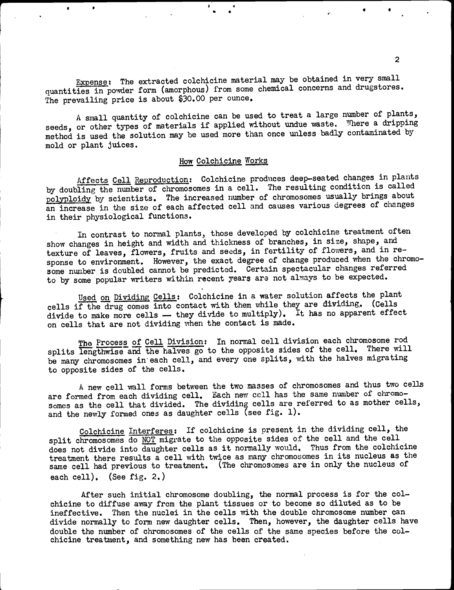Expense: The extracted coichicine material may be obtained in very small quantities in powder form (amorphous) from some chemical concerns and drugstores. The prevailing price is about \$30.00 per ounce.

A small quantity of colchicine can be used to treat a large number of plants, seeds, or other types of materials if applied without undue waste. Where a dripping method is used the solution may be used more than once unless badly contaminated by mold or plant juices.

# How Colchicine Works

Affects Cell Reproduction: Colchicine produces deep-seated changes in plants by doubling the number of chromosomes in a cell. The resulting condition is called polyploidy by scientists. The increased number of chromosomes usually brings about an increase in the size of each affected cell and causes various degrees of changes in their physiological functions.

In contrast to normal plants, those developed by coichicine treatment often show changes in height and width and thickness of branches, in size, shape, and texture of leaves, flowers, fruits and seeds, in fertility of flowers, and in response to environment. However, the exact degree of change produced when the chromosome number is doubled cannot be predicted. Certain spectacular changes referred to by some popular writers within recent years are not always to be expected.

Used on Dividing Cells: Colchicine in a water solution affects the plant cells if the drug comes into contact with them while they are dividing. (Cells divide to make more cells - they divide to multiply). It has no apparent effect on cells that are not dividing when the contact is made.

The Process of Cell Division: In normal cell division each chromosome rod splits lengthwise and the halves go to the opposite sides of the cell. There will be many chromosomes in each cell, and every one splits, with the halves migrating to opposite sides of the cells.

A new cell wall forms between the two masses of chromosomes and thus two cells are formed from each dividing cell. Each new cell has the same number of chromosomes as the cell that divided. The dividing cells are referred to as mother cells, and the newly formed ones as daughter cells (see fig. 1).

Colchicine Interferes: If colchicine is present in the dividing cell, the split chromosomes do NOT migrate to the opposite sides of the cell and the cell does not divide into daughter cells as it normally would. Thus from the colchicine treatment there results a cell with twice as many chromosomes in its nucleus as the same cell had previous to treatment. (The chromosomes are in only the nucleus of each cell). (See fig. 2.)

After such initial chromosome doubling, the normal process is for the colchicine to diffuse away from the plant tissues or to become so diluted as to be ineffective. Then the nuclei in the cells with the double chromosome number can divide normally to form new daughter cells. Then, however, the daughter cells have double the number of chromosomes of the cells of the same species before the colchicine treatment, and something new has been created.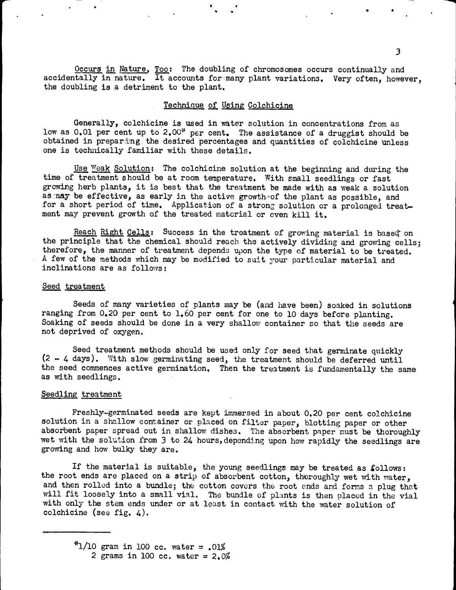Occurs in Nature, Too: The doubling of chromosomes occurs continually and accidentally in nature. It accounts formany plant variations. Very often, however, the doubling is a detriment to the plant.

## Technique of Using Colchicine

Generally, colchicine is used in water solution in concentrations from as low as  $0.01$  per cent up to  $2.00*$  per cent. The assistance of a druggist should be obtained in preparing the desired percentages and quantities of coichicine unless one is technically familiar with these details.

Use Weak Solution: The colchicine solution at the beginning and during the time of treatment should be at room temperature. With small seedlings or fast growing herb plants, it is best that the treatment be made with as weak a solution as may be effective, as early in the active growth of the plant as possible, and for a short period of time. Application of a strong solution or a prolonged treatment may prevent growth of the treated material or even kill it.

Reach Right Cells: Success in the treatment of growing material is based on the principle that the chemical should reach the actively dividing and growing cells; therefore, the manner of treatment depends upon the type of material to be treated. A few of the methods which may be modified to suit your particular material and inclinations are as follows:

#### Seed treatment

Seeds of many varieties of plants may be (and have been) soaked in solutions ranging from 0.20 per cent to 1.60 per cent for one to 10 days before planting. Soaking of seeds should be done in a very shallow container so that the seeds are not deprived of oxygen.

Seed treatment methods should be used only for seed that germinate quickly  $(2 - 4 \text{ days})$ . With slow germinating seed, the treatment should be deferred until the seed commences active germination, Then the treatment is fundamentally the same as with seedlings.

#### Seedling treatment

Freshly-germinated seeds are kept immersed in about 0.20 per cent coichicine solution in a shallow container or placed on filter paper, blotting paper or other absorbent paper spread out in shallow dishes. The absorbent paper must be thoroughly wet with the solution from 3 to 24 hours, depending upon how rapidly the seedlings are growing and how bulky they are.

If the material is suitable, the young seedlings may be treated as  $f$ ollows: the root ends are placed on a strip of absorbent cotton, thoroughly wet with vater, and then rolled into a bundle; the cotton covers the root ends and forms a plug that will fit loosely into a small vial. The bundle of plants is then placed in the vial with only the stem ends under or at least in contact with the water solution of coichicine (see fig. 4).

 $*1/10$  gram in 100 cc. water = .01% 2 grams in 100 cc. water =  $2.0\%$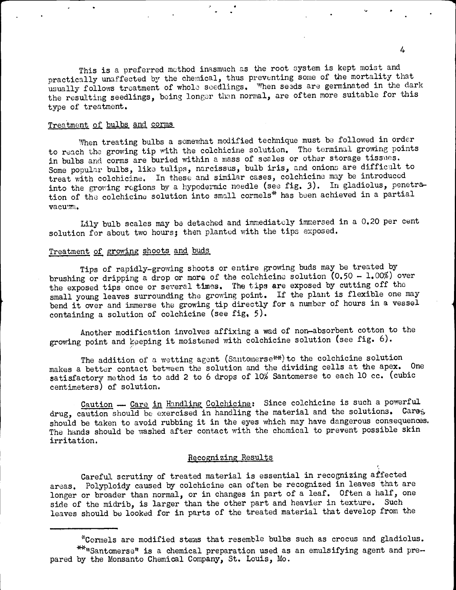This is a preferred method inasmuch as the root system is kept moist and practically unaffected by the chemical, thus preventing some of the mortality that usually follows treatment of whole seedlings. When seeds are germinated in the dark the resulting seedlings, being longer then normal, are often more suitable for this type of treatment.

## Treatment of bulbs and corms

When treating bulbs a somewhat modified technique must be followed in order to reach the growing tip with the coichicine solution. The terminal growing points in bulbs and corms are buried within a mass of scales or other storage tissues. Some popular bulbs, like tulips, narcissus, bulb iris, and onions are difficult to treat with colchicine. In these and similar cases, colchicine may be introduced into the growing regions by a hypodermic needle (see fig. 3). In gladiolus, penetration of the colchicine solution into small cormels\* has been achieved in a partial  $v_2$ cunti.

Lily bulb scales may be detached and immediately immersed in a 0.20 per cent solution for about two hours; then planted with the tips exposed.

## Treatment of growing shoots and buds

Tips of rapidly-growing shoots or entire growing buds may be treated by brushing or dripping a drop or more of the colchicine solution  $(0.50 - 1.00\%)$  over the exposed tips once or several times. The tips are exposed by cutting off the small young leaves surrounding the growing point. If the plant is flexible one may bend it over and immerse the growing tip directly for a number of hours in a vessel containing a solution of colchicine (see fig.  $5$ ).

Another modification involves affixing a wad of non-absorbent cotton to the growing point and keeping it moistened with colchicine solution (see fig. 6).

The addition of a wetting agent (Santomerse<sup>34</sup>) to the colchicine solution makes a better contact between the solution and the dividing cells at the apex. One satisfactory method is to add 2 to 6 drops of 10% Santomerse to each 10 cc. (cubic centimeters) of solution.

Caution - Care in Handling Colchicine: Since colchicine is such a powerful drug, caution should be exercised in handling the material and the solutions. Cares should be taken to avoid rubbing it in the eyes which may have dangerous consequences. The hands should be washed after contact with the chemical to prevent possible skin irritation.

# Recognizing Results

Careful scrutiny of treated material is essential in recognizing affected areas. Polyploidy caused by colchicine can often be recognized in leaves that are longer or broader than normal, or in changes in part of a leaf. Often a half, one side of the midrib, is larger than the other part and heavier in texture. Such leaves should be looked for in parts of the treated material that develop from the

<sup>\*</sup>Cormels are modified stems that resemble bulbs such as crocus and gladiolus. \*\* "Santomerse" is a chemical preparation used as an emulsifying agent and prepared by the Monsanto Chemical Company, St. Louis, Mo.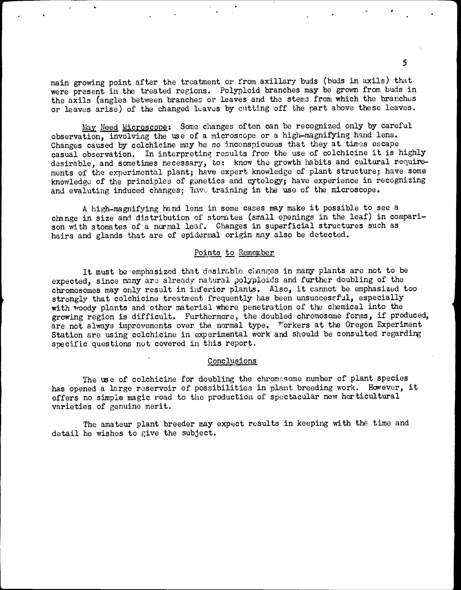main growing point after the treatment or from axillary buds (buds in axils) that were present in the treated regions. Polyploid branches may be grown from buds in the axils (angles between branches or leaves and the stems from which the branches or leaves arise) of the changed leaves by cutting off the part above these leaves.

May Need Microscope: Some changes often can be recognized only by careful observation, involving the use of a microscope or a high-magnifying hand lens. Changes caused by coichicine may he so inconspicuous that they at times escape casual observation. In interpreting results from the use of coichicine it is highly desirable, and sometimes necessary, to: know the growth habits and cultural requirements of the experimental plant; have expert knowledge of plant structure; have some knowledge of the principles of genetics and cytology; have experience in recognizing and evaluting induced changes; have training in the use of the microscope.

A high-magnifying hand lens in some cases may make it possible to see a change in size and distribution of stomates (small openings in the leaf) in comparison with stomates of a normal leaf. Changes in superficial structures such as hairs and glands that are of epidermal origin may also be detected.

## Points to Remember

It must be emphasized that desirable changes in many plants are not to be expected, since many aro already natural jolyploids and further doubling of the chromosomes may only result in inferior plants. Also, it cannot be emphasized too strongly that colchicine treatment frequently has been unsuccessful, especially with woody plants and other material where penetration of the chemical into the growing region is difficult. Furthermore, the doubled chromosome forms, if produced, are not always improvements over the normal type. Workers at the Oregon Experiment Station are using coichicine in experimental work and should be consulted regarding specific questions not covered in this report.

#### Conclusions

The use of colchicine for doubling the chromesome number of plant species has opened a large reservoir of possibilities in plant breeding work. However, it offers no simple magic road to the production of spectacular new horticultural varieties of genuine merit.

The amateur plant breeder may expect results in keeping with the time and detail he wishes to give the subject.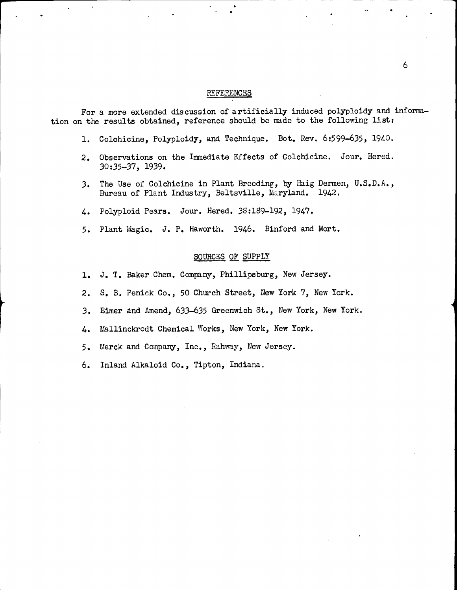## REFERENCES

For a more extended discussion of artificially induced polyploidy and informa tion on the results obtained, reference should be made to the following list:

- 1. Coichicine, Polyploidy, and Technique. Bot. Rev. 6:599-635, 1940.
- 2. Observations on the Immediate Effects of Colchicine. Jour. Hered. 30:35-37, 1939.
- 3. The Use of Coichicine in Plant Breeding, by Haig Dermen, U.S.D.A., Bureau of Plant Industry, Beltsville, Maryland. 1942.
- 4. Polyploid Pears. Jour. Hered. 38:189-192, 1947.
- 5. Plant Magic. J. P. Haworth. 1946. Binford and Mort.

## SOURCES OF SUPPLY

- 1. J. T. Baker Chem. Company, Phillipsburg, New Jersey.
- 2. S. B. Peniek Co., 50 Church Street, New York 7, New York.
- 3. Eimer and Amend, 633-635 Greenwich St., New York, New York.
- 4. Mallinckrodt Chemical Works, New York, New York.
- 5. Merck and Company, Inc., Rahway, New Jersey.
- 6. Inland Alkaloid Co., Tipton, Indiana.